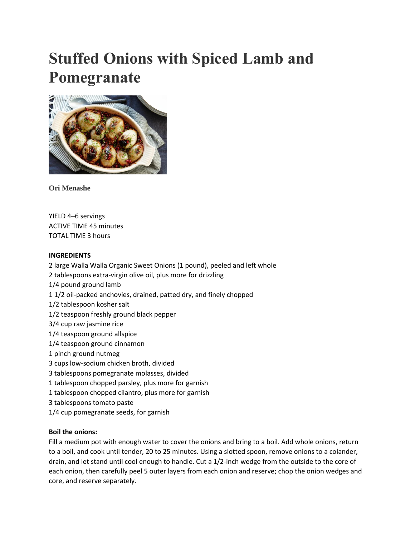# **Stuffed Onions with Spiced Lamb and Pomegranate**



**Ori Menashe**

YIELD 4–6 servings ACTIVE TIME 45 minutes TOTAL TIME 3 hours

## **INGREDIENTS**

- 2 large Walla Walla Organic Sweet Onions (1 pound), peeled and left whole 2 tablespoons extra-virgin olive oil, plus more for drizzling 1/4 pound ground lamb 1 1/2 oil-packed anchovies, drained, patted dry, and finely chopped 1/2 tablespoon kosher salt 1/2 teaspoon freshly ground black pepper 3/4 cup raw jasmine rice 1/4 teaspoon ground allspice 1/4 teaspoon ground cinnamon 1 pinch ground nutmeg 3 cups low-sodium chicken broth, divided 3 tablespoons pomegranate molasses, divided 1 tablespoon chopped parsley, plus more for garnish 1 tablespoon chopped cilantro, plus more for garnish 3 tablespoons tomato paste
- 1/4 cup pomegranate seeds, for garnish

## **Boil the onions:**

Fill a medium pot with enough water to cover the onions and bring to a boil. Add whole onions, return to a boil, and cook until tender, 20 to 25 minutes. Using a slotted spoon, remove onions to a colander, drain, and let stand until cool enough to handle. Cut a 1/2-inch wedge from the outside to the core of each onion, then carefully peel 5 outer layers from each onion and reserve; chop the onion wedges and core, and reserve separately.